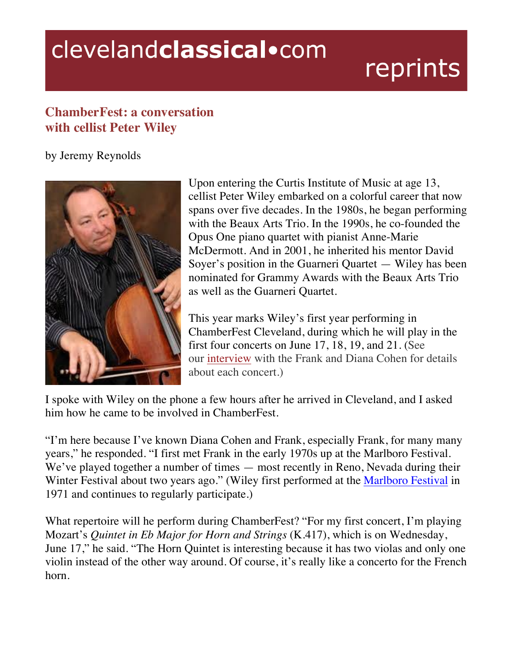## clevelandclassical.com

## reprints

## **ChamberFest: a conversation with cellist Peter Wiley**

by Jeremy Reynolds



Upon entering the Curtis Institute of Music at age 13, cellist Peter Wiley embarked on a colorful career that now spans over five decades. In the 1980s, he began performing with the Beaux Arts Trio. In the 1990s, he co-founded the Opus One piano quartet with pianist Anne-Marie McDermott. And in 2001, he inherited his mentor David Soyer's position in the Guarneri Quartet — Wiley has been nominated for Grammy Awards with the Beaux Arts Trio as well as the Guarneri Quartet.

This year marks Wiley's first year performing in ChamberFest Cleveland, during which he will play in the first four concerts on June 17, 18, 19, and 21. (See our interview with the Frank and Diana Cohen for details about each concert.)

I spoke with Wiley on the phone a few hours after he arrived in Cleveland, and I asked him how he came to be involved in ChamberFest.

"I'm here because I've known Diana Cohen and Frank, especially Frank, for many many years," he responded. "I first met Frank in the early 1970s up at the Marlboro Festival. We've played together a number of times — most recently in Reno, Nevada during their Winter Festival about two years ago." (Wiley first performed at the Marlboro Festival in 1971 and continues to regularly participate.)

What repertoire will he perform during ChamberFest? "For my first concert, I'm playing Mozart's *Quintet in Eb Major for Horn and Strings* (K.417), which is on Wednesday, June 17," he said. "The Horn Quintet is interesting because it has two violas and only one violin instead of the other way around. Of course, it's really like a concerto for the French horn.